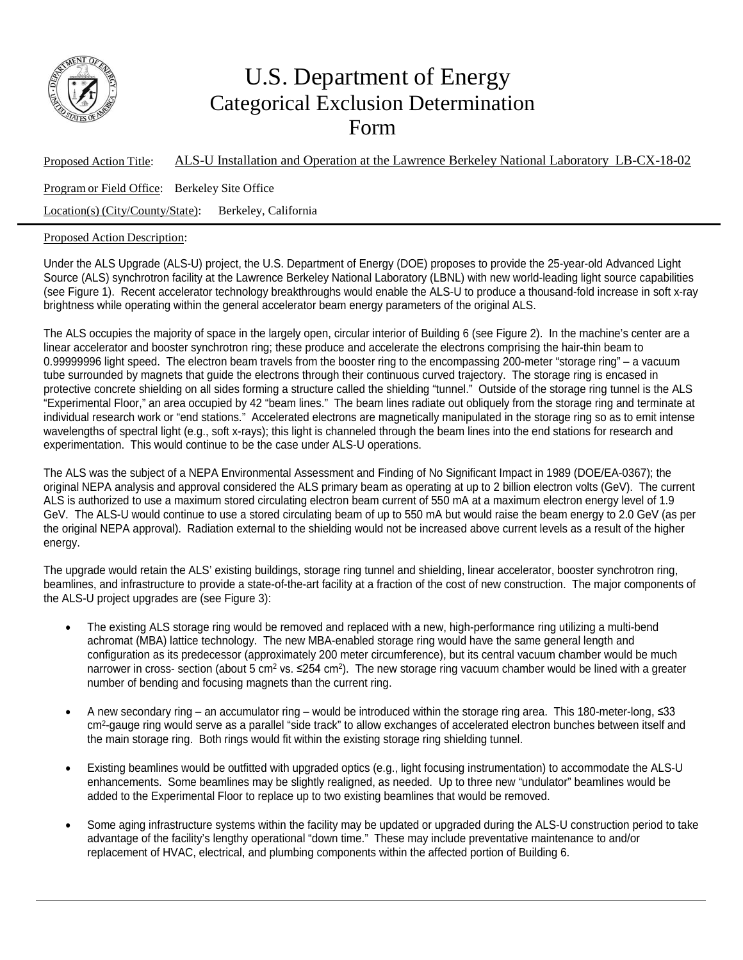

## U.S. Department of Energy Categorical Exclusion Determination Form

Proposed Action Title: ALS-U Installation and Operation at the Lawrence Berkeley National Laboratory LB-CX-18-02 Program or Field Office: Berkeley Site Office Location(s) (City/County/State): Berkeley, California

## Proposed Action Description:

Under the ALS Upgrade (ALS-U) project, the U.S. Department of Energy (DOE) proposes to provide the 25-year-old Advanced Light Source (ALS) synchrotron facility at the Lawrence Berkeley National Laboratory (LBNL) with new world-leading light source capabilities (see Figure 1). Recent accelerator technology breakthroughs would enable the ALS-U to produce a thousand-fold increase in soft x-ray brightness while operating within the general accelerator beam energy parameters of the original ALS.

The ALS occupies the majority of space in the largely open, circular interior of Building 6 (see Figure 2). In the machine's center are a linear accelerator and booster synchrotron ring; these produce and accelerate the electrons comprising the hair-thin beam to 0.99999996 light speed. The electron beam travels from the booster ring to the encompassing 200-meter "storage ring" – a vacuum tube surrounded by magnets that guide the electrons through their continuous curved trajectory. The storage ring is encased in protective concrete shielding on all sides forming a structure called the shielding "tunnel." Outside of the storage ring tunnel is the ALS "Experimental Floor," an area occupied by 42 "beam lines." The beam lines radiate out obliquely from the storage ring and terminate at individual research work or "end stations." Accelerated electrons are magnetically manipulated in the storage ring so as to emit intense wavelengths of spectral light (e.g., soft x-rays); this light is channeled through the beam lines into the end stations for research and experimentation. This would continue to be the case under ALS-U operations.

The ALS was the subject of a NEPA Environmental Assessment and Finding of No Significant Impact in 1989 (DOE/EA-0367); the original NEPA analysis and approval considered the ALS primary beam as operating at up to 2 billion electron volts (GeV). The current ALS is authorized to use a maximum stored circulating electron beam current of 550 mA at a maximum electron energy level of 1.9 GeV. The ALS-U would continue to use a stored circulating beam of up to 550 mA but would raise the beam energy to 2.0 GeV (as per the original NEPA approval). Radiation external to the shielding would not be increased above current levels as a result of the higher energy.

The upgrade would retain the ALS' existing buildings, storage ring tunnel and shielding, linear accelerator, booster synchrotron ring, beamlines, and infrastructure to provide a state-of-the-art facility at a fraction of the cost of new construction. The major components of the ALS-U project upgrades are (see Figure 3):

- The existing ALS storage ring would be removed and replaced with a new, high-performance ring utilizing a multi-bend achromat (MBA) lattice technology. The new MBA-enabled storage ring would have the same general length and configuration as its predecessor (approximately 200 meter circumference), but its central vacuum chamber would be much narrower in cross- section (about 5 cm<sup>2</sup> vs.  $\leq 254$  cm<sup>2</sup>). The new storage ring vacuum chamber would be lined with a greater number of bending and focusing magnets than the current ring.
- A new secondary ring an accumulator ring would be introduced within the storage ring area. This 180-meter-long, ≤33 cm2-gauge ring would serve as a parallel "side track" to allow exchanges of accelerated electron bunches between itself and the main storage ring. Both rings would fit within the existing storage ring shielding tunnel.
- Existing beamlines would be outfitted with upgraded optics (e.g., light focusing instrumentation) to accommodate the ALS-U enhancements. Some beamlines may be slightly realigned, as needed. Up to three new "undulator" beamlines would be added to the Experimental Floor to replace up to two existing beamlines that would be removed.
- Some aging infrastructure systems within the facility may be updated or upgraded during the ALS-U construction period to take advantage of the facility's lengthy operational "down time." These may include preventative maintenance to and/or replacement of HVAC, electrical, and plumbing components within the affected portion of Building 6.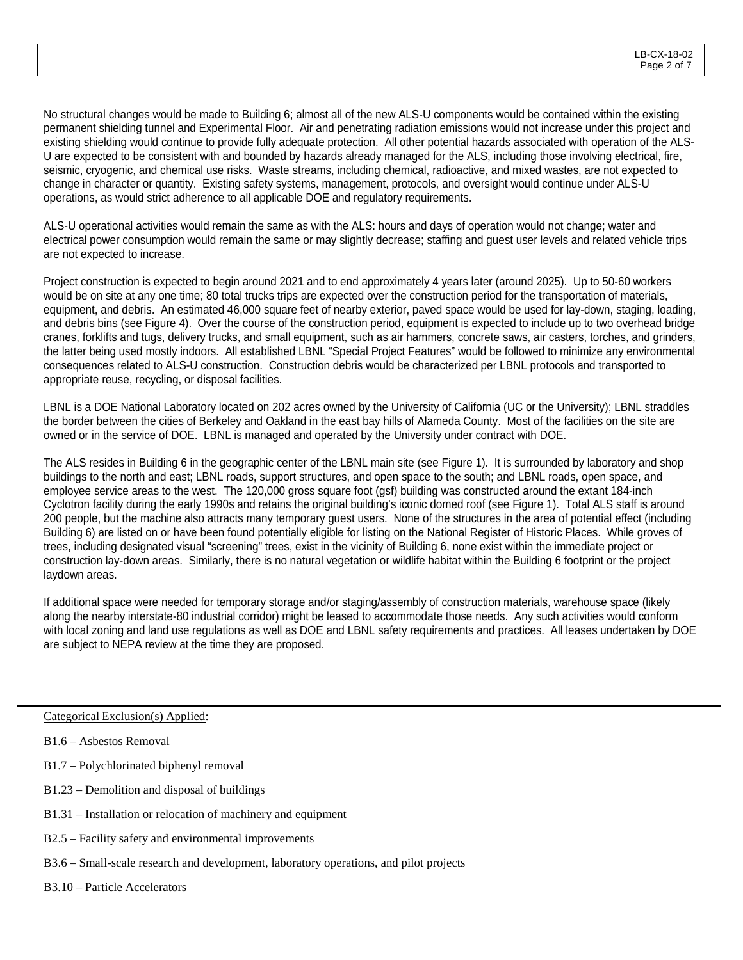No structural changes would be made to Building 6; almost all of the new ALS-U components would be contained within the existing permanent shielding tunnel and Experimental Floor. Air and penetrating radiation emissions would not increase under this project and existing shielding would continue to provide fully adequate protection. All other potential hazards associated with operation of the ALS-U are expected to be consistent with and bounded by hazards already managed for the ALS, including those involving electrical, fire, seismic, cryogenic, and chemical use risks. Waste streams, including chemical, radioactive, and mixed wastes, are not expected to change in character or quantity. Existing safety systems, management, protocols, and oversight would continue under ALS-U operations, as would strict adherence to all applicable DOE and regulatory requirements.

ALS-U operational activities would remain the same as with the ALS: hours and days of operation would not change; water and electrical power consumption would remain the same or may slightly decrease; staffing and guest user levels and related vehicle trips are not expected to increase.

Project construction is expected to begin around 2021 and to end approximately 4 years later (around 2025). Up to 50-60 workers would be on site at any one time; 80 total trucks trips are expected over the construction period for the transportation of materials, equipment, and debris. An estimated 46,000 square feet of nearby exterior, paved space would be used for lay-down, staging, loading, and debris bins (see Figure 4). Over the course of the construction period, equipment is expected to include up to two overhead bridge cranes, forklifts and tugs, delivery trucks, and small equipment, such as air hammers, concrete saws, air casters, torches, and grinders, the latter being used mostly indoors. All established LBNL "Special Project Features" would be followed to minimize any environmental consequences related to ALS-U construction. Construction debris would be characterized per LBNL protocols and transported to appropriate reuse, recycling, or disposal facilities.

LBNL is a DOE National Laboratory located on 202 acres owned by the University of California (UC or the University); LBNL straddles the border between the cities of Berkeley and Oakland in the east bay hills of Alameda County. Most of the facilities on the site are owned or in the service of DOE. LBNL is managed and operated by the University under contract with DOE.

The ALS resides in Building 6 in the geographic center of the LBNL main site (see Figure 1). It is surrounded by laboratory and shop buildings to the north and east; LBNL roads, support structures, and open space to the south; and LBNL roads, open space, and employee service areas to the west. The 120,000 gross square foot (gsf) building was constructed around the extant 184-inch Cyclotron facility during the early 1990s and retains the original building's iconic domed roof (see Figure 1). Total ALS staff is around 200 people, but the machine also attracts many temporary guest users. None of the structures in the area of potential effect (including Building 6) are listed on or have been found potentially eligible for listing on the National Register of Historic Places. While groves of trees, including designated visual "screening" trees, exist in the vicinity of Building 6, none exist within the immediate project or construction lay-down areas. Similarly, there is no natural vegetation or wildlife habitat within the Building 6 footprint or the project laydown areas.

If additional space were needed for temporary storage and/or staging/assembly of construction materials, warehouse space (likely along the nearby interstate-80 industrial corridor) might be leased to accommodate those needs. Any such activities would conform with local zoning and land use regulations as well as DOE and LBNL safety requirements and practices. All leases undertaken by DOE are subject to NEPA review at the time they are proposed.

Categorical Exclusion(s) Applied:

- B1.7 Polychlorinated biphenyl removal
- B1.23 Demolition and disposal of buildings
- B1.31 Installation or relocation of machinery and equipment
- B2.5 Facility safety and environmental improvements
- B3.6 Small-scale research and development, laboratory operations, and pilot projects
- B3.10 Particle Accelerators

B1.6 – Asbestos Removal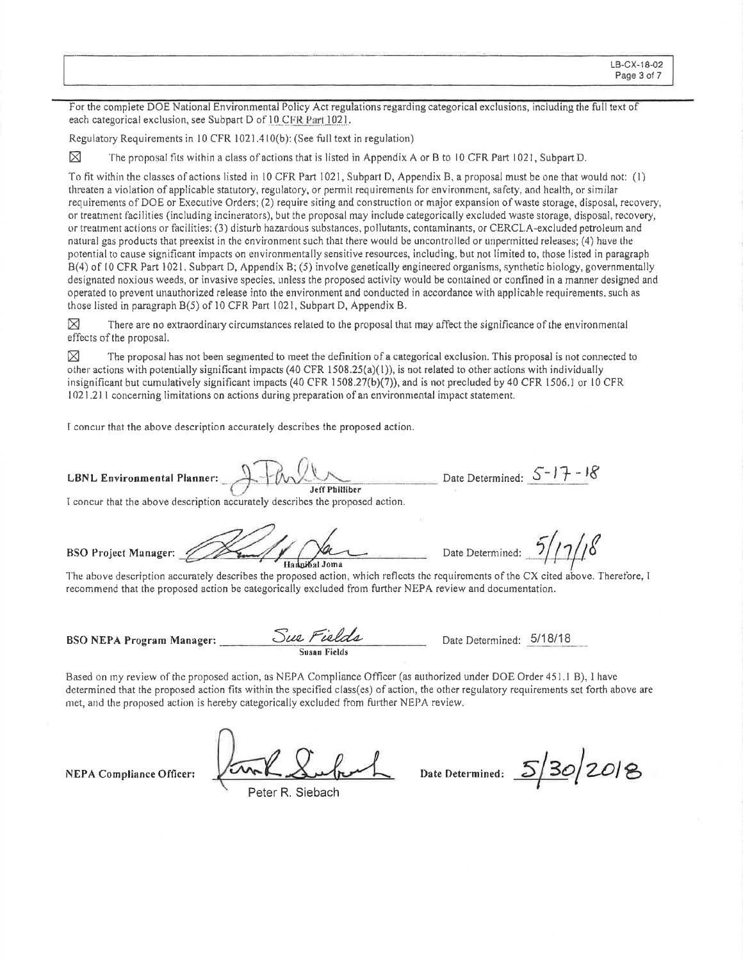For the complete DOE National Environmental Policy Act regulations regarding categorical exclusions, including the full text of each categorical exclusion, see Subpart D of 10 CFR Part 1021.

Regulatory Requirements in 10 CFR 1021.410(b): (See full text in regulation)

⊠ The proposal fits within a class of actions that is listed in Appendix A or B to 10 CFR Part 1021, Subpart D.

To fit within the classes of actions listed in 10 CFR Part 1021, Subpart D, Appendix B, a proposal must be one that would not: (1) threaten a violation of applicable statutory, regulatory, or permit requirements for environment, safety, and health, or similar requirements of DOE or Executive Orders; (2) require siting and construction or major expansion of waste storage, disposal, recovery, or treatment facilities (including incinerators), but the proposal may include categorically excluded waste storage, disposal, recovery, or treatment actions or facilities; (3) disturb hazardous substances, pollutants, contaminants, or CERCLA-excluded petroleum and natural gas products that preexist in the environment such that there would be uncontrolled or unpermitted releases; (4) have the potential to cause significant impacts on environmentally sensitive resources, including, but not limited to, those listed in paragraph B(4) of 10 CFR Part 1021, Subpart D, Appendix B; (5) involve genetically engineered organisms, synthetic biology, governmentally designated noxious weeds, or invasive species, unless the proposed activity would be contained or confined in a manner designed and operated to prevent unauthorized release into the environment and conducted in accordance with applicable requirements, such as those listed in paragraph B(5) of 10 CFR Part 1021, Subpart D, Appendix B.

⊠ There are no extraordinary circumstances related to the proposal that may affect the significance of the environmental effects of the proposal.

⊠ The proposal has not been segmented to meet the definition of a categorical exclusion. This proposal is not connected to other actions with potentially significant impacts  $(40 \text{ CFR } 1508.25(a)(1))$ , is not related to other actions with individually insignificant but cumulatively significant impacts (40 CFR 1508.27(b)(7)), and is not precluded by 40 CFR 1506.1 or 10 CFR 1021.211 concerning limitations on actions during preparation of an environmental impact statement.

Jeff Philliber

I concur that the above description accurately describes the proposed action.

**LBNL Environmental Planner:** 

I concur that the above description accurately describes the proposed action.

**BSO Project Manager:** Hannibal Joma

Date Determined:

The above description accurately describes the proposed action, which reflects the requirements of the CX cited above. Therefore, I recommend that the proposed action be categorically excluded from further NEPA review and documentation.

**BSO NEPA Program Manager:** 

Sur Fields

Date Determined: 5/18/18

Based on my review of the proposed action, as NEPA Compliance Officer (as authorized under DOE Order 451.1 B), I have determined that the proposed action fits within the specified class(es) of action, the other regulatory requirements set forth above are met, and the proposed action is hereby categorically excluded from further NEPA review.

**NEPA Compliance Officer:** 

Peter R. Siebach

 $5/30/2018$ Date Determined:

Date Determined:  $5-17-18$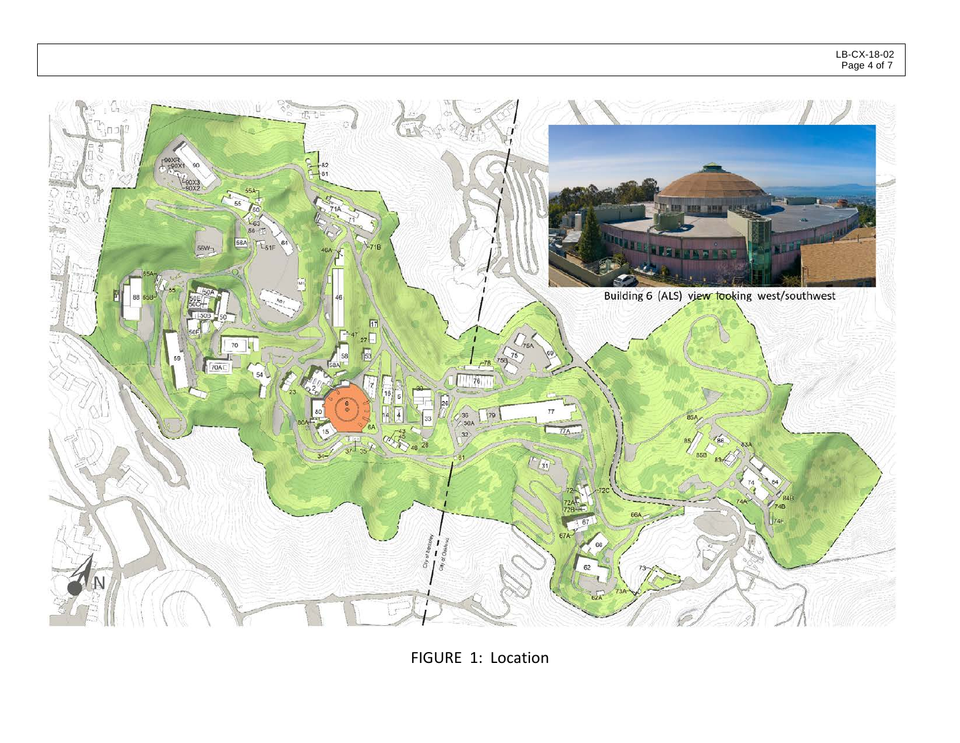

FIGURE 1: Location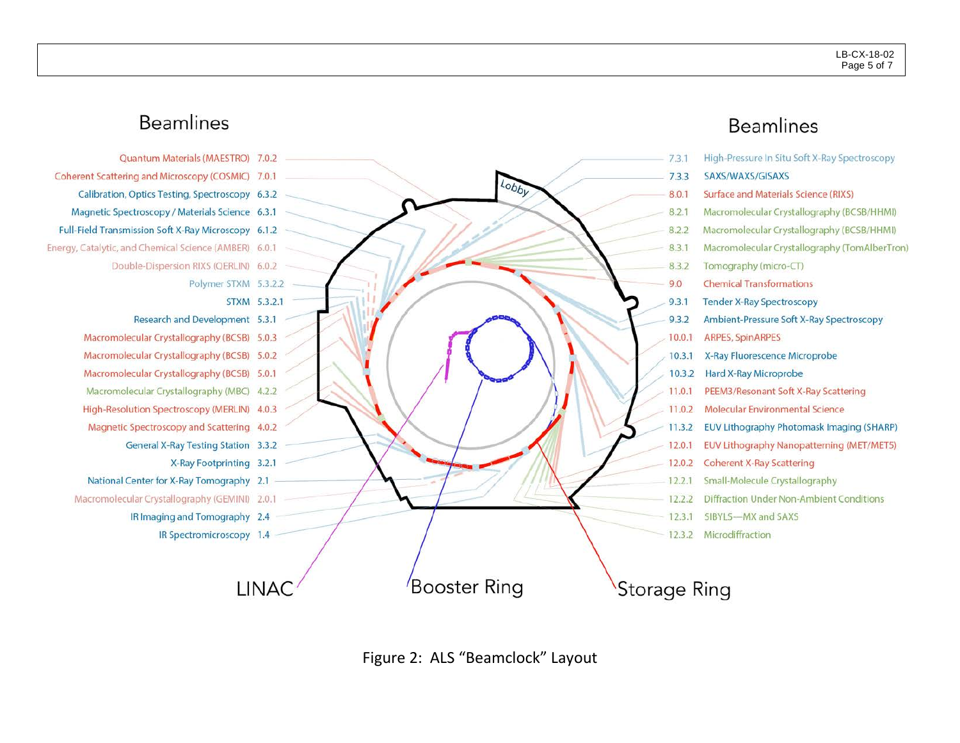## **Beamlines**



## **Beamlines**

|                     | 7.3.1  | High-Pressure In Situ Soft X-Ray Spectroscopy |
|---------------------|--------|-----------------------------------------------|
|                     | 7.3.3  | SAXS/WAXS/GISAXS                              |
|                     | 8.0.1  | Surface and Materials Science (RIXS)          |
|                     | 8.2.1  | Macromolecular Crystallography (BCSB/HHMI)    |
|                     | 8.2.2  | Macromolecular Crystallography (BCSB/HHMI)    |
|                     | 8.3.1  | Macromolecular Crystallography (TomAlberTron) |
|                     | 8.3.2  | Tomography (micro-CT)                         |
|                     | 9.0    | <b>Chemical Transformations</b>               |
|                     | 9.3.1  | <b>Tender X-Ray Spectroscopy</b>              |
|                     | 9.3.2  | Ambient-Pressure Soft X-Ray Spectroscopy      |
|                     | 10.0.1 | <b>ARPES, SpinARPES</b>                       |
|                     | 10.3.1 | X-Ray Fluorescence Microprobe                 |
|                     | 10.3.2 | Hard X-Ray Microprobe                         |
|                     | 11.0.1 | PEEM3/Resonant Soft X-Ray Scattering          |
|                     | 11.0.2 | Molecular Environmental Science               |
|                     | 11.3.2 | EUV Lithography Photomask Imaging (SHARP)     |
|                     | 12.0.1 | EUV Lithography Nanopatterning (MET/MET5)     |
|                     | 12.0.2 | <b>Coherent X-Ray Scattering</b>              |
|                     | 12.2.1 | Small-Molecule Crystallography                |
|                     | 12.2.2 | Diffraction Under Non-Ambient Conditions      |
|                     | 12.3.1 | SIBYLS-MX and SAXS                            |
|                     | 12.3.2 | Microdiffraction                              |
|                     |        |                                               |
|                     |        |                                               |
| <b>Storage Ring</b> |        |                                               |
|                     |        |                                               |

Figure 2: ALS "Beamclock" Layout

Lobby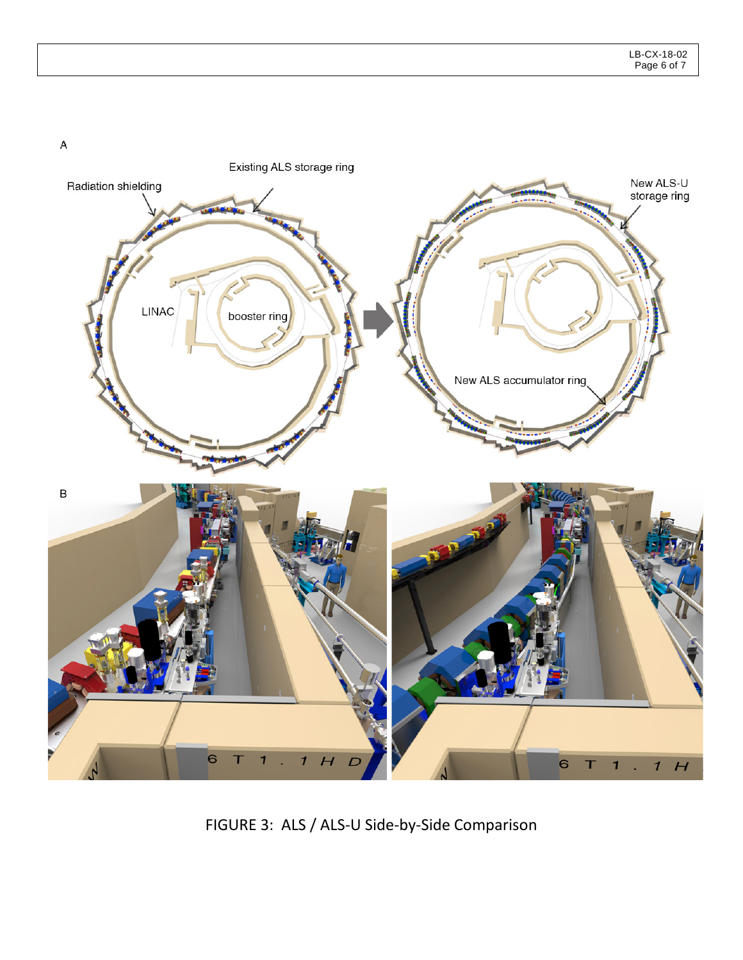$\boldsymbol{\mathsf{A}}$ 



FIGURE 3: ALS / ALS-U Side-by-Side Comparison